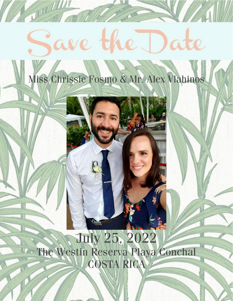# ave the Date

**TILLE AND A** 

# Miss Chrissie Fosmo & Mr. Alex Vlahinos



# **July 25, 2022** The Westin Reserva Playa Conchal **COSTA RICA**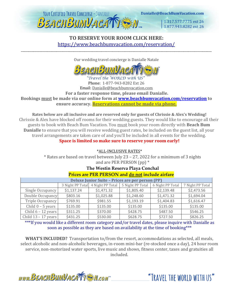

1.317.577.7775 ext 26 1.877,943,8282 ext 26

"TRAVEL THE WORLD WITH US"

## **TO RESERVE YOUR ROOM CLICK HERE:** <https://www.beachbumvacation.com/reservation/>

\_\_\_\_\_\_\_\_\_\_\_\_\_\_\_\_\_\_\_\_\_\_\_\_\_\_\_\_\_\_\_\_\_\_\_\_\_\_\_\_\_\_\_\_\_\_\_\_\_\_\_\_\_\_\_\_\_\_\_\_\_\_\_\_\_\_\_\_\_\_\_\_\_\_\_\_\_\_\_\_\_\_\_\_\_\_\_\_\_\_\_\_\_\_\_\_\_\_\_\_\_\_\_\_\_\_\_\_\_\_\_\_\_\_\_\_\_\_\_\_\_\_\_

Our wedding travel concierge is Danialle Natale



Phone: 1-877-943-8282 Ext 26 Email: Danialle@beachbumvacation.com **For a faster response time, please email Danialle. Bookings must be made via our online form at [www.beachbumvacation.com/reservation](http://www.beachbumvacation.com/reservation) to ensure accuracy. Reservations cannot be made via phone.**

**Rates below are all inclusive and are reserved only for guests of Chrissie & Alex's Wedding!** Chrissie & Alex have blocked off rooms for their wedding guests. They would like to encourage all their guests to book with Beach Bum Vacation. You must book your room directly with **Beach Bum Danialle** to ensure that you will receive wedding guest rates, be included on the guest list, all your travel arrangements are taken care of and you'll be included in all events for the wedding. **Space is limited so make sure to reserve your room early!**

\*ALL-INCLUSIVE RATES\*

\* Rates are based on travel between July 23 – 27, 2022 for a minimum of 3 nights and are PER PERSON (pp) \*

#### **The Westin Reserva Playa Conchal Prices are PER PERSON and do not include airfare**

| <u>I HUS are I EIV I ERSOT Vand do not include amane</u> |                  |                  |                  |                  |                  |  |
|----------------------------------------------------------|------------------|------------------|------------------|------------------|------------------|--|
| <b>Deluxe Junior Suite - Prices are per person (PP)</b>  |                  |                  |                  |                  |                  |  |
|                                                          | 3 Night PP Total | 4 Night PP Total | 5 Night PP Total | 6 Night PP Total | 7 Night PP Total |  |
| Single Occupancy                                         | \$1,137.24       | \$1,471.32       | \$1,805.40       | \$2,139.48       | \$2,473.56       |  |
| Double Occupancy                                         | \$803.16         | \$1,025.88       | \$1,248.60       | \$1,471.32       | \$1,694.04       |  |
| Triple Occupancy                                         | \$769.91         | \$981.55         | \$1,193.19       | \$1,404.83       | \$1,616.47       |  |
| Child $0 - 5$ years                                      | \$135.00         | \$135.00         | \$135.00         | \$135.00         | \$135.00         |  |
| Child $6 - 12$ years                                     | \$311.25         | \$370.00         | \$428.75         | \$487.50         | \$546.25         |  |
| Child $13 - 17$ years                                    | \$431.25         | \$530.00         | \$628.75         | \$727.50         | \$826.25         |  |

\*\*\*If you would like a different room category and/or travel dates, please inquire with Danialle as soon as possible as they are based on availability at the time of booking\*\*\*

**WHAT'S INCLUDED?** Transportation to/from the resort, accommodations as selected, all meals, select alcoholic and non-alcoholic beverages, in-room mini-bar (re-stocked once a day), 24 hour room service, non-motorized water sports, live music and shows, fitness center, taxes and gratuities all included.

www.BEACHBUMVACATTEN.com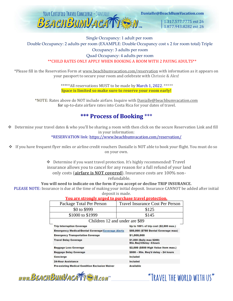

Danialle@BeachBumVacation.com

1.317.577.7775 ext 26 1.877.943.8282 ext 26

## Single Occupancy: 1 adult per room Double Occupancy: 2 adults per room (EXAMPLE: Double Occupancy cost x 2 for room total) Triple

Occupancy: 3 adults per room

#### Quad Occupancy: 4 adults per room \*\*CHILD RATES ONLY APPLY WHEN BOOKING A ROOM WITH 2 PAYING ADULTS\*\*

\*Please fill in the Reservation Form at [www.beachbumvacation.com/reservation](http://www.beachbumvacation.com/reservation) with information as it appears on your passport to secure your room and celebrate with Chrissie & Alex!

> \*\*\*\*\*All reservations MUST to be made by March 1, 2022. \*\*\*\*\* **Space is limited so make sure to reserve your room early!**

\*NOTE: Rates above do NOT include airfare. Inquire with Danialle@beachbumvacation.com for up-to-date airfare rates into Costa Rica for your dates of travel.

# **\*\*\* Process of Booking** \*\*\*

❖ Determine your travel dates & who you'll be sharing a room with then click on the secure Reservation Link and fill in your information:

\*RESERVATION link:<https://www.beachbumvacation.com/reservation/>

❖ If you have frequent flyer miles or airline credit vouchers Danialle is NOT able to book your flight. You must do so on your own.

> ❖ Determine if you want travel protection. It's highly recommended! Travel insurance allows you to cancel for any reason for a full refund of your land only costs (**airfare is NOT covered**). Insurance costs are 100% nonrefundable.

#### **You will need to indicate on the form if you accept or decline TRIP INSURANCE.**

PLEASE NOTE: Insurance is due at the time of making your initial deposit. Insurance CANNOT be added after initial deposit is made.

#### **You are strongly urged to purchase travel protection.**

| Package Total Per Person                                 | Travel Insurance Cost Per Person                        |  |  |
|----------------------------------------------------------|---------------------------------------------------------|--|--|
| \$0 to \$999                                             | \$125                                                   |  |  |
| \$1000 to \$1999                                         | \$145                                                   |  |  |
| Children 12 and under are \$89                           |                                                         |  |  |
| <b>Trip Interruption Coverage</b>                        | Up to 100% of trip cost (\$2,500 max.)                  |  |  |
| <b>Emergency Medical/Dental Coverage/Coverage Alerts</b> | \$50,000 (\$750 Dental Coverage max)                    |  |  |
| <b>Emergency Transportation Coverage</b>                 | \$1,000,000                                             |  |  |
| <b>Travel Delay Coverage</b>                             | \$1,000 (Daily max \$200)<br>Min. Req'd Delay - 6 hours |  |  |
| <b>Baggage Loss Coverage</b>                             | \$2,000 (\$500 High Value Item max.)                    |  |  |
| <b>Baggage Delay Coverage</b>                            | \$500 - Min. Reg'd delay - 24 hours                     |  |  |
| Concierge                                                | Included                                                |  |  |
| <b>24-Hour Assistance</b>                                | Included                                                |  |  |
| <b>Pre-existing Medical Condition Exclusion Waiver</b>   | Available                                               |  |  |

www.BEACHBUMVACATTEN.com